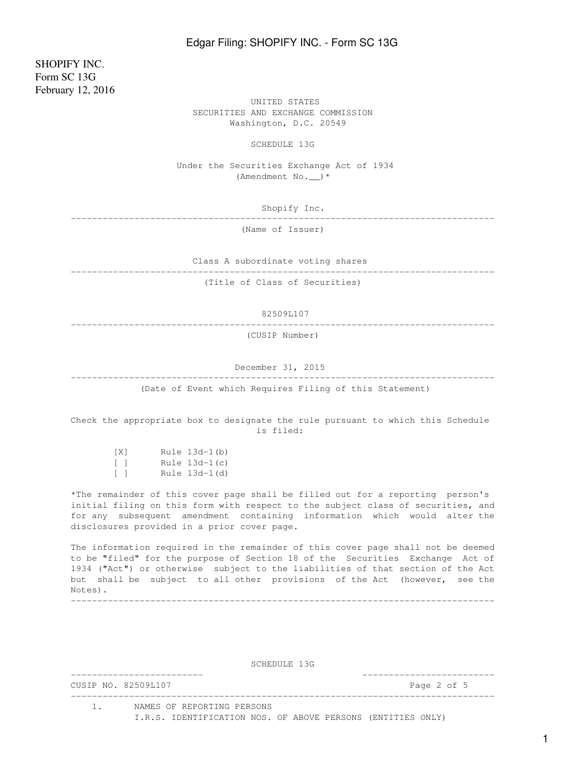SHOPIFY INC. Form SC 13G February 12, 2016

 UNITED STATES SECURITIES AND EXCHANGE COMMISSION Washington, D.C. 20549

SCHEDULE 13G

 Under the Securities Exchange Act of 1934 (Amendment No.  $\rightarrow$  \*

Shopify Inc.

--------------------------------------------------------------------------------

(Name of Issuer)

Class A subordinate voting shares

--------------------------------------------------------------------------------

(Title of Class of Securities)

82509L107

--------------------------------------------------------------------------------

(CUSIP Number)

December 31, 2015

-------------------------------------------------------------------------------- (Date of Event which Requires Filing of this Statement)

Check the appropriate box to designate the rule pursuant to which this Schedule is filed:

| - I X 1      | Rule 13d-1(b)   |
|--------------|-----------------|
| $\mathbf{1}$ | Rule $13d-1(c)$ |
| $\Box$       | Rule 13d-1(d)   |

\*The remainder of this cover page shall be filled out for a reporting person's initial filing on this form with respect to the subject class of securities, and for any subsequent amendment containing information which would alter the disclosures provided in a prior cover page.

The information required in the remainder of this cover page shall not be deemed to be "filed" for the purpose of Section 18 of the Securities Exchange Act of 1934 ("Act") or otherwise subject to the liabilities of that section of the Act but shall be subject to all other provisions of the Act (however, see the Notes). --------------------------------------------------------------------------------

SCHEDULE 13G

------------------------- ------------------------- CUSIP NO. 82509L107 Page 2 of 5 --------------------------------------------------------------------------------

 1. NAMES OF REPORTING PERSONS I.R.S. IDENTIFICATION NOS. OF ABOVE PERSONS (ENTITIES ONLY)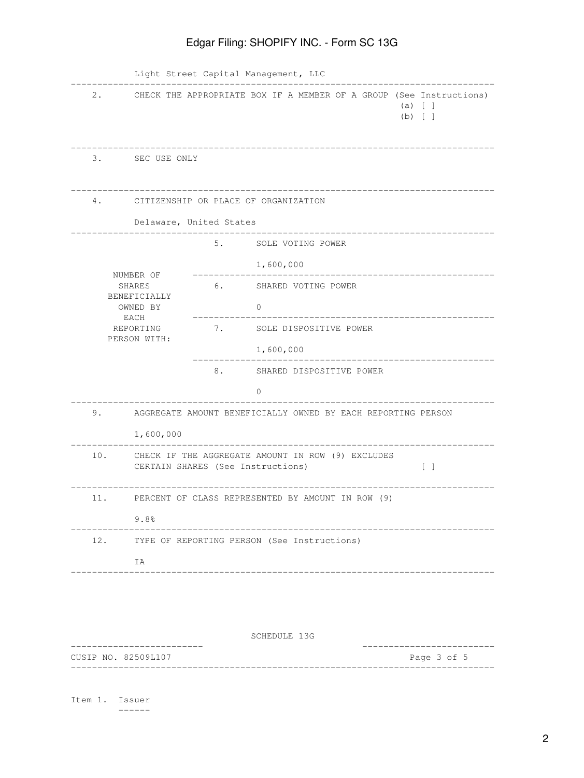| $2$ .                                              |                                                   |                                                                                                                             | CHECK THE APPROPRIATE BOX IF A MEMBER OF A GROUP (See Instructions)<br>(a) [ ]<br>$(b)$ [ ] |  |  |  |
|----------------------------------------------------|---------------------------------------------------|-----------------------------------------------------------------------------------------------------------------------------|---------------------------------------------------------------------------------------------|--|--|--|
| 3.                                                 | SEC USE ONLY                                      |                                                                                                                             |                                                                                             |  |  |  |
| 4.                                                 |                                                   |                                                                                                                             | CITIZENSHIP OR PLACE OF ORGANIZATION                                                        |  |  |  |
|                                                    | Delaware, United States                           |                                                                                                                             |                                                                                             |  |  |  |
|                                                    |                                                   | 5.                                                                                                                          | SOLE VOTING POWER                                                                           |  |  |  |
|                                                    |                                                   |                                                                                                                             | 1,600,000                                                                                   |  |  |  |
| NUMBER OF<br>SHARES                                |                                                   | 6. SHARED VOTING POWER                                                                                                      |                                                                                             |  |  |  |
| BENEFICIALLY<br>OWNED BY                           |                                                   |                                                                                                                             | 0                                                                                           |  |  |  |
| EACH<br>REPORTING                                  |                                                   | 7. SOLE DISPOSITIVE POWER                                                                                                   |                                                                                             |  |  |  |
| PERSON WITH:                                       |                                                   |                                                                                                                             | 1,600,000                                                                                   |  |  |  |
|                                                    |                                                   | 8.                                                                                                                          | SHARED DISPOSITIVE POWER                                                                    |  |  |  |
|                                                    |                                                   |                                                                                                                             | $\Omega$                                                                                    |  |  |  |
| 9.                                                 |                                                   | AGGREGATE AMOUNT BENEFICIALLY OWNED BY EACH REPORTING PERSON                                                                |                                                                                             |  |  |  |
|                                                    | 1,600,000                                         |                                                                                                                             |                                                                                             |  |  |  |
| 10.                                                |                                                   | CHECK IF THE AGGREGATE AMOUNT IN ROW (9) EXCLUDES<br>CERTAIN SHARES (See Instructions)<br>$\begin{bmatrix} 1 \end{bmatrix}$ |                                                                                             |  |  |  |
| 11.                                                | PERCENT OF CLASS REPRESENTED BY AMOUNT IN ROW (9) |                                                                                                                             |                                                                                             |  |  |  |
|                                                    | 9.8%                                              |                                                                                                                             |                                                                                             |  |  |  |
| 12.<br>TYPE OF REPORTING PERSON (See Instructions) |                                                   |                                                                                                                             |                                                                                             |  |  |  |
|                                                    | ΙA                                                |                                                                                                                             |                                                                                             |  |  |  |

SCHEDULE 13G

------------------------- ------------------------- CUSIP NO. 82509L107 --------------------------------------------------------------------------------

Item 1. Issuer ------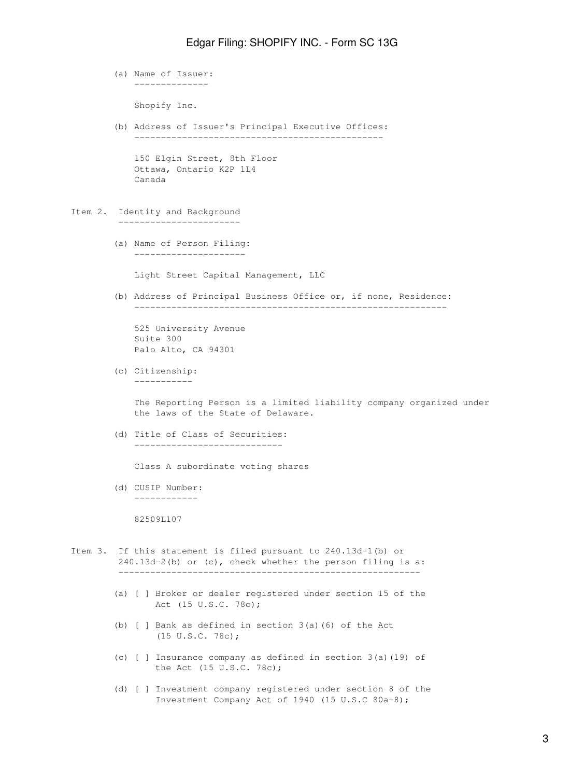(a) Name of Issuer: --------------

Shopify Inc.

 (b) Address of Issuer's Principal Executive Offices: -----------------------------------------------

 150 Elgin Street, 8th Floor Ottawa, Ontario K2P 1L4 Canada

Item 2. Identity and Background

 (a) Name of Person Filing: ---------------------

-----------------------

Light Street Capital Management, LLC

 (b) Address of Principal Business Office or, if none, Residence: -----------------------------------------------------------

 525 University Avenue Suite 300 Palo Alto, CA 94301

 (c) Citizenship: -----------

> The Reporting Person is a limited liability company organized under the laws of the State of Delaware.

 (d) Title of Class of Securities: ----------------------------

Class A subordinate voting shares

 (d) CUSIP Number: ------------

82509L107

- Item 3. If this statement is filed pursuant to 240.13d-1(b) or 240.13d-2(b) or (c), check whether the person filing is a:
	- (a) [ ] Broker or dealer registered under section 15 of the Act (15 U.S.C. 78o);
	- (b) [ ] Bank as defined in section 3(a)(6) of the Act (15 U.S.C. 78c);
	- (c) [ ] Insurance company as defined in section 3(a)(19) of the Act (15 U.S.C. 78c);
	- (d) [ ] Investment company registered under section 8 of the Investment Company Act of 1940 (15 U.S.C 80a-8);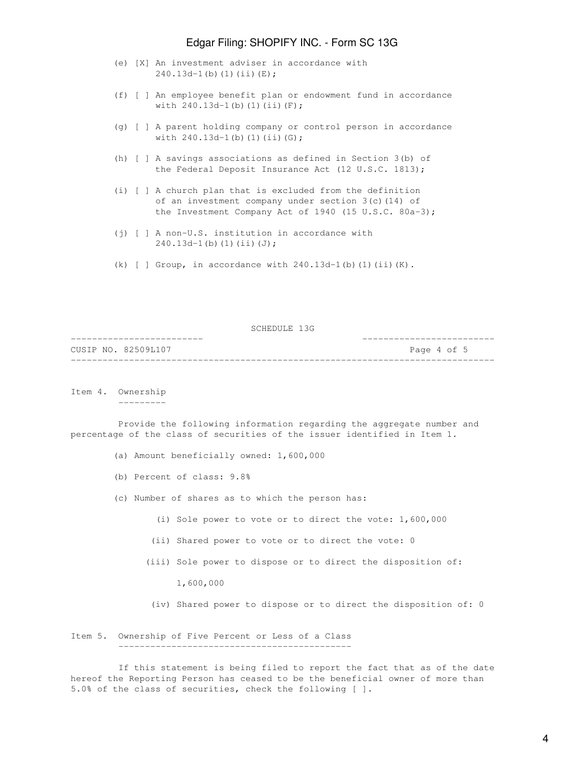- (e) [X] An investment adviser in accordance with 240.13d-1(b)(1)(ii)(E);
- (f) [ ] An employee benefit plan or endowment fund in accordance with  $240.13d-1$  (b)  $(1)$   $(ii)$   $(F)$ ;
- (g) [ ] A parent holding company or control person in accordance with 240.13d-1(b)(1)(ii)(G);
- (h) [ ] A savings associations as defined in Section 3(b) of the Federal Deposit Insurance Act (12 U.S.C. 1813);
- (i) [ ] A church plan that is excluded from the definition of an investment company under section 3(c)(14) of the Investment Company Act of 1940 (15 U.S.C. 80a-3);
- (j) [ ] A non-U.S. institution in accordance with 240.13d-1(b)(1)(ii)(J);
- (k) [ ] Group, in accordance with  $240.13d-1$ (b)(1)(ii)(K).

SCHEDULE 13G

| CUSIP NO. 82509L107 |  | Page 4 of 5 |  |  |  |
|---------------------|--|-------------|--|--|--|
|                     |  |             |  |  |  |

Item 4. Ownership ---------

 Provide the following information regarding the aggregate number and percentage of the class of securities of the issuer identified in Item 1.

- (a) Amount beneficially owned: 1,600,000
- (b) Percent of class: 9.8%
- (c) Number of shares as to which the person has:
	- (i) Sole power to vote or to direct the vote: 1,600,000
	- (ii) Shared power to vote or to direct the vote: 0
	- (iii) Sole power to dispose or to direct the disposition of:
		- 1,600,000
		- (iv) Shared power to dispose or to direct the disposition of: 0

Item 5. Ownership of Five Percent or Less of a Class --------------------------------------------

 If this statement is being filed to report the fact that as of the date hereof the Reporting Person has ceased to be the beneficial owner of more than 5.0% of the class of securities, check the following [ ].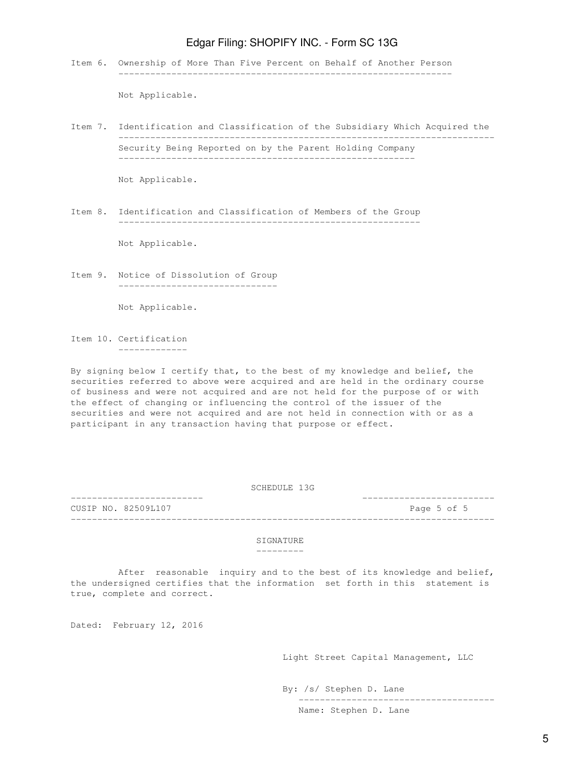Item 6. Ownership of More Than Five Percent on Behalf of Another Person ---------------------------------------------------------------

Not Applicable.

Item 7. Identification and Classification of the Subsidiary Which Acquired the ----------------------------------------------------------------------- Security Being Reported on by the Parent Holding Company --------------------------------------------------------

Not Applicable.

Item 8. Identification and Classification of Members of the Group ---------------------------------------------------------

Not Applicable.

Item 9. Notice of Dissolution of Group ------------------------------

Not Applicable.

Item 10. Certification -------------

By signing below I certify that, to the best of my knowledge and belief, the securities referred to above were acquired and are held in the ordinary course of business and were not acquired and are not held for the purpose of or with the effect of changing or influencing the control of the issuer of the securities and were not acquired and are not held in connection with or as a participant in any transaction having that purpose or effect.

SCHEDULE 13G

------------------------- ------------------------- CUSIP NO. 82509L107 Page 5 of 5

#### **STGNATURE**

--------------------------------------------------------------------------------

---------

 After reasonable inquiry and to the best of its knowledge and belief, the undersigned certifies that the information set forth in this statement is true, complete and correct.

Dated: February 12, 2016

Light Street Capital Management, LLC

-------------------------------------

By: /s/ Stephen D. Lane

Name: Stephen D. Lane